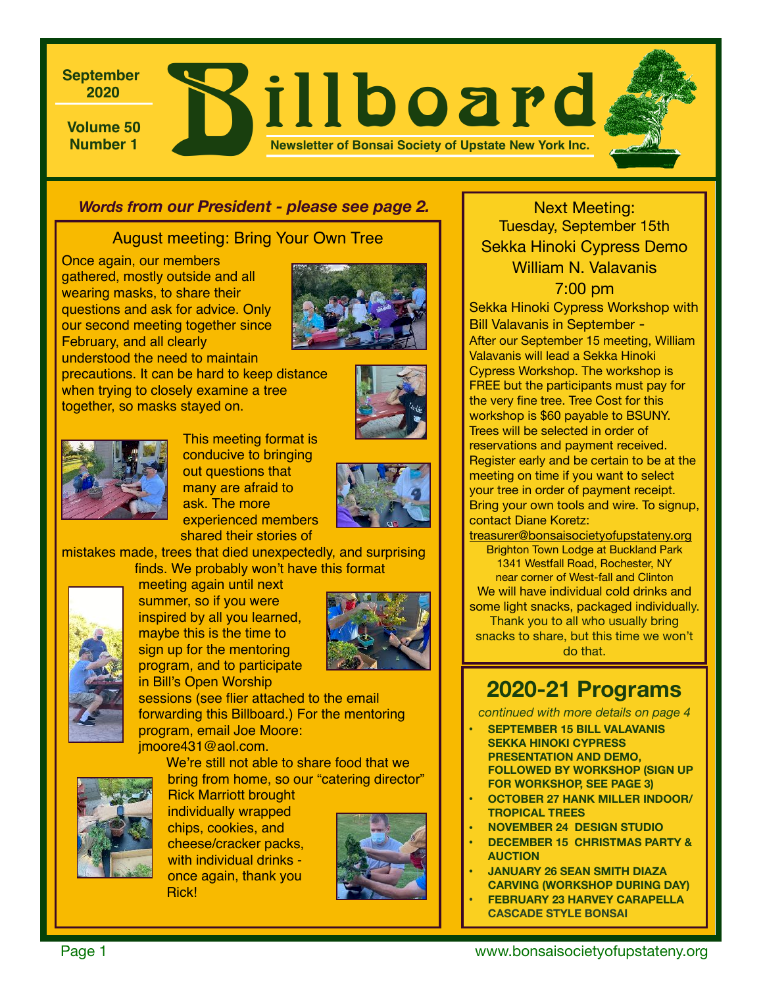**Volume 50 Rillboard 2020 Newsletter of Bonsai Society of Upstate New York Inc.**

### *Words from our President - please see page 2.*

### August meeting: Bring Your Own Tree

Once again, our members gathered, mostly outside and all wearing masks, to share their questions and ask for advice. Only our second meeting together since February, and all clearly understood the need to maintain



precautions. It can be hard to keep distance when trying to closely examine a tree together, so masks stayed on.





This meeting format is conducive to bringing out questions that many are afraid to ask. The more experienced members shared their stories of



mistakes made, trees that died unexpectedly, and surprising finds. We probably won't have this format



meeting again until next summer, so if you were inspired by all you learned, maybe this is the time to sign up for the mentoring program, and to participate in Bill's Open Worship



sessions (see flier attached to the email forwarding this Billboard.) For the mentoring program, email Joe Moore:

jmoore431@aol.com.

We're still not able to share food that we bring from home, so our "catering director"



Rick Marriott brought individually wrapped chips, cookies, and cheese/cracker packs, with individual drinks once again, thank you Rick!



# Next Meeting: Tuesday, September 15th Sekka Hinoki Cypress Demo William N. Valavanis

7:00 pm Sekka Hinoki Cypress Workshop with Bill Valavanis in September - After our September 15 meeting, William Valavanis will lead a Sekka Hinoki Cypress Workshop. The workshop is FREE but the participants must pay for the very fine tree. Tree Cost for this workshop is \$60 payable to BSUNY. Trees will be selected in order of reservations and payment received. Register early and be certain to be at the meeting on time if you want to select your tree in order of payment receipt. Bring your own tools and wire. To signup, contact Diane Koretz:

[treasurer@bonsaisocietyofupstateny.org](mailto:treasurer@bonsaisocietyofupstateny.org) Brighton Town Lodge at Buckland Park 1341 Westfall Road, Rochester, NY near corner of West-fall and Clinton We will have individual cold drinks and some light snacks, packaged individually. Thank you to all who usually bring snacks to share, but this time we won't do that.

# **2020-21 Programs**

*continued with more details on page 4* 

- **• SEPTEMBER 15 BILL VALAVANIS SEKKA HINOKI CYPRESS PRESENTATION AND DEMO, FOLLOWED BY WORKSHOP (SIGN UP FOR WORKSHOP, SEE PAGE 3)**
- **• OCTOBER 27 HANK MILLER INDOOR/ TROPICAL TREES**
- **• NOVEMBER 24 DESIGN STUDIO**
- **• DECEMBER 15 CHRISTMAS PARTY & AUCTION**
- **• JANUARY 26 SEAN SMITH DIAZA CARVING (WORKSHOP DURING DAY)**
- **• FEBRUARY 23 HARVEY CARAPELLA CASCADE STYLE BONSAI**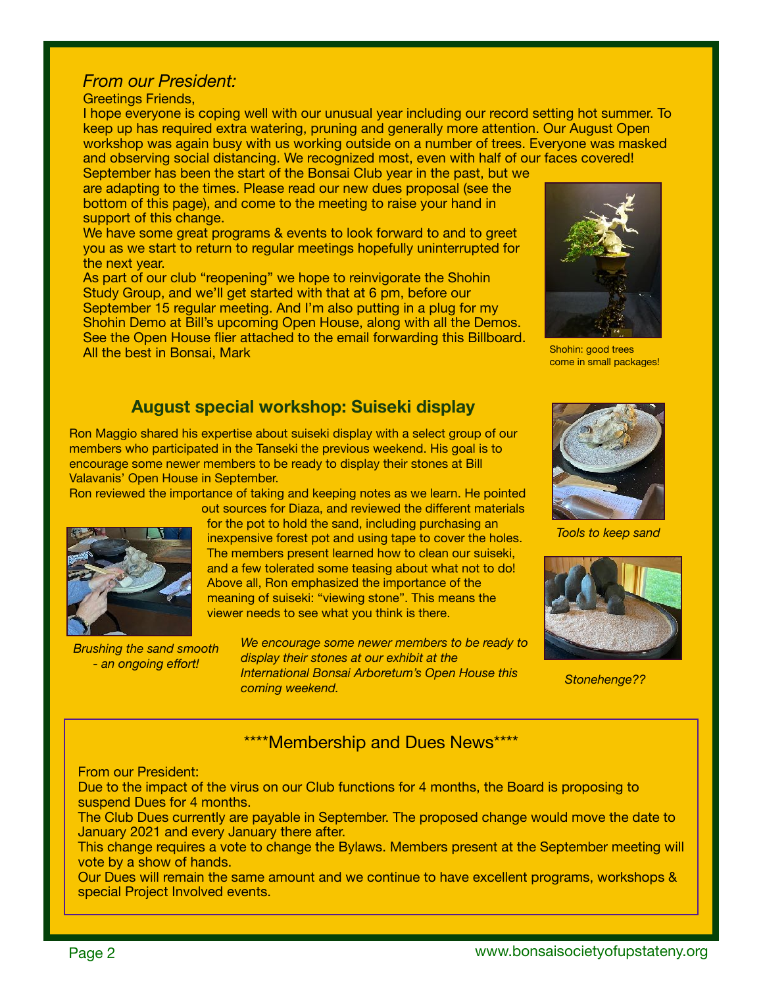### *From our President:*

#### Greetings Friends,

I hope everyone is coping well with our unusual year including our record setting hot summer. To keep up has required extra watering, pruning and generally more attention. Our August Open workshop was again busy with us working outside on a number of trees. Everyone was masked and observing social distancing. We recognized most, even with half of our faces covered!

September has been the start of the Bonsai Club year in the past, but we are adapting to the times. Please read our new dues proposal (see the bottom of this page), and come to the meeting to raise your hand in support of this change.

We have some great programs & events to look forward to and to greet you as we start to return to regular meetings hopefully uninterrupted for the next year.

As part of our club "reopening" we hope to reinvigorate the Shohin Study Group, and we'll get started with that at 6 pm, before our September 15 regular meeting. And I'm also putting in a plug for my Shohin Demo at Bill's upcoming Open House, along with all the Demos. See the Open House flier attached to the email forwarding this Billboard. All the best in Bonsai, Mark

# **August special workshop: Suiseki display**

Ron Maggio shared his expertise about suiseki display with a select group of our members who participated in the Tanseki the previous weekend. His goal is to encourage some newer members to be ready to display their stones at Bill Valavanis' Open House in September.

Ron reviewed the importance of taking and keeping notes as we learn. He pointed



*Brushing the sand smooth - an ongoing effort!*

out sources for Diaza, and reviewed the different materials for the pot to hold the sand, including purchasing an inexpensive forest pot and using tape to cover the holes. The members present learned how to clean our suiseki, and a few tolerated some teasing about what not to do! Above all, Ron emphasized the importance of the meaning of suiseki: "viewing stone". This means the viewer needs to see what you think is there.

> *We encourage some newer members to be ready to display their stones at our exhibit at the International Bonsai Arboretum's Open House this coming weekend.*



Shohin: good trees come in small packages!



*Tools to keep sand* 



*Stonehenge??*

## \*\*\*\*Membership and Dues News\*\*\*\*

#### From our President:

Due to the impact of the virus on our Club functions for 4 months, the Board is proposing to suspend Dues for 4 months.

The Club Dues currently are payable in September. The proposed change would move the date to January 2021 and every January there after.

This change requires a vote to change the Bylaws. Members present at the September meeting will vote by a show of hands.

Our Dues will remain the same amount and we continue to have excellent programs, workshops & special Project Involved events.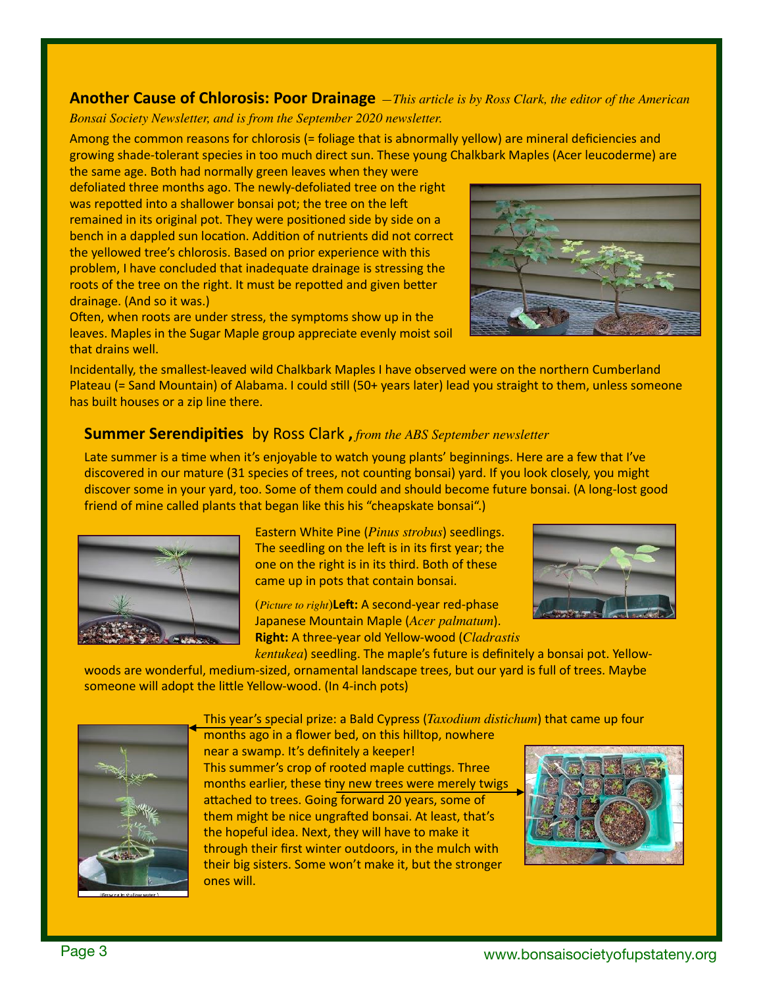**Another Cause of Chlorosis: Poor Drainage** *—This article is by Ross Clark, the editor of the American Bonsai Society Newsletter, and is from the September 2020 newsletter.* 

Among the common reasons for chlorosis (= foliage that is abnormally yellow) are mineral deficiencies and growing shade-tolerant species in too much direct sun. These young Chalkbark Maples (Acer leucoderme) are

the same age. Both had normally green leaves when they were defoliated three months ago. The newly-defoliated tree on the right was repotted into a shallower bonsai pot; the tree on the left remained in its original pot. They were positioned side by side on a bench in a dappled sun location. Addition of nutrients did not correct the yellowed tree's chlorosis. Based on prior experience with this problem, I have concluded that inadequate drainage is stressing the roots of the tree on the right. It must be repotted and given better drainage. (And so it was.)

Often, when roots are under stress, the symptoms show up in the leaves. Maples in the Sugar Maple group appreciate evenly moist soil that drains well.

Incidentally, the smallest-leaved wild Chalkbark Maples I have observed were on the northern Cumberland Plateau (= Sand Mountain) of Alabama. I could still (50+ years later) lead you straight to them, unless someone has built houses or a zip line there.

### **Summer Serendipities** by Ross Clark , from the ABS September newsletter

Late summer is a time when it's enjoyable to watch young plants' beginnings. Here are a few that I've discovered in our mature (31 species of trees, not counting bonsai) yard. If you look closely, you might discover some in your yard, too. Some of them could and should become future bonsai. (A long-lost good friend of mine called plants that began like this his "cheapskate bonsai".)

> Eastern White Pine (*Pinus strobus*) seedlings. The seedling on the left is in its first year; the one on the right is in its third. Both of these came up in pots that contain bonsai.

(*Picture to right*)Left: A second-year red-phase Japanese Mountain Maple (*Acer palmatum*). **Right:** A three-year old Yellow-wood (*Cladrastis* 

*kentukea*) seedling. The maple's future is definitely a bonsai pot. Yellowwoods are wonderful, medium-sized, ornamental landscape trees, but our yard is full of trees. Maybe someone will adopt the little Yellow-wood. (In 4-inch pots)

> This year's special prize: a Bald Cypress (*Taxodium distichum*) that came up four months ago in a flower bed, on this hilltop, nowhere

near a swamp. It's definitely a keeper! This summer's crop of rooted maple cuttings. Three months earlier, these tiny new trees were merely twigs attached to trees. Going forward 20 years, some of them might be nice ungrafted bonsai. At least, that's the hopeful idea. Next, they will have to make it through their first winter outdoors, in the mulch with their big sisters. Some won't make it, but the stronger ones will. 









Page 3